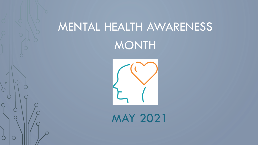# MENTAL HEALTH AWARENESS MONTH



MAY 2021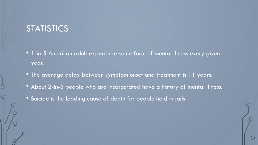### **STATISTICS**

- 1-in-5 American adult experience some form of mental illness every given year.
- The average delay between symptom onset and treatment is 11 years.
- About 2-in-5 people who are incarcerated have a history of mental illness.
- Suicide is the leading cause of death for people held in jails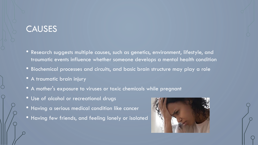### **CAUSES**

- Research suggests multiple causes, such as genetics, environment, lifestyle, and traumatic events influence whether someone develops a mental health condition
- Biochemical processes and circuits, and basic brain structure may play a role
- A traumatic brain injury
- A mother's exposure to viruses or toxic chemicals while pregnant
- Use of alcohol or recreational drugs
- Having a serious medical condition like cancer
- Having few friends, and feeling lonely or isolated

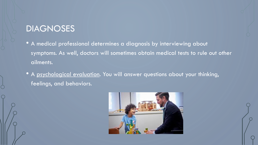### **DIAGNOSES**

- A medical professional determines a diagnosis by interviewing about symptoms. As well, doctors will sometimes obtain medical tests to rule out other ailments.
- A psychological evaluation. You will answer questions about your thinking, feelings, and behaviors.

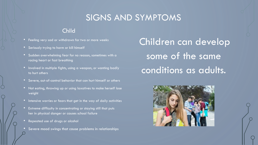## SIGNS AND SYMPTOMS

#### Child

- Feeling very sad or withdrawn for two or more weeks
- Seriously trying to harm or kill himself
- Sudden overwhelming fear for no reason, sometimes with a racing heart or fast breathing
- Involved in multiple fights, using a weapon, or wanting badly to hurt others
- Severe, out-of-control behavior that can hurt himself or others
- Not eating, throwing up or using laxatives to make herself lose weight
- Intensive worries or fears that get in the way of daily activities
- Extreme difficulty in concentrating or staying still that puts her in physical danger or causes school failure
- Repeated use of drugs or alcohol
- Severe mood swings that cause problems in relationships

Children can develop some of the same conditions as adults.

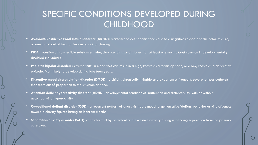# SPECIFIC CONDITIONS DEVELOPED DURING **CHILDHOOD**

- **Avoidant-Restrictive Food Intake Disorder (ARFID):** resistance to eat specific foods due to a negative response to the color, texture, or smell; and out of fear of becoming sick or choking
- **PICA:** ingestion of non- edible substances (wire, clay, ice, dirt, sand, stones) for at least one month. Most common in developmentally disabled individuals
- **Pediatric bipolar disorder:** extreme shifts in mood that can result in a high, known as a manic episode, or a low, known as a depressive episode. Most likely to develop during late teen years.
- **Disruptive mood dysregulation disorder (DMDD):** a child is chronically irritable and experiences frequent, severe temper outbursts that seem out of proportion to the situation at hand.
- **Attention deficit hyperactivity disorder (ADHD):** developmental condition of inattention and distractibility, with or without accompanying hyperactivity.
- **Oppositional defiant disorder (ODD):** a recurrent pattern of angry/irritable mood, argumentative/defiant behavior or vindictiveness toward authority figures lasting at least six months
- **Separation anxiety disorder (SAD):** characterized by persistent and excessive anxiety during impending separation from the primary caretaker.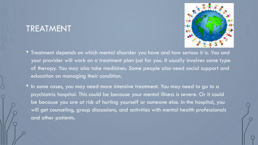### TREATMENT



- Treatment depends on which mental disorder you have and how serious it is. You and your provider will work on a treatment plan just for you. It usually involves some type of therapy. You may also take medicines. Some people also need social support and education on managing their condition.
- In some cases, you may need more intensive treatment. You may need to go to a psychiatric hospital. This could be because your mental illness is severe. Or it could be because you are at risk of hurting yourself or someone else. In the hospital, you will get counseling, group discussions, and activities with mental health professionals and other patients.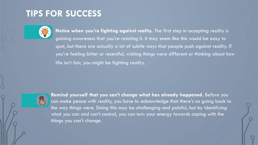# **TIPS FOR SUCCESS**



• **Notice when you're fighting against reality.** The first step in accepting reality is gaining awareness that you're resisting it. It may seem like this would be easy to spot, but there are actually a lot of subtle ways that people push against reality. If you're feeling bitter or resentful, wishing things were different or thinking about how life isn't fair, you might be fighting reality.



**Remind yourself that you can't change what has already happened.** Before you can make peace with reality, you have to acknowledge that there's no going back to the way things were. Doing this may be challenging and painful, but by identifying what you can and can't control, you can turn your energy towards coping with the things you can't change.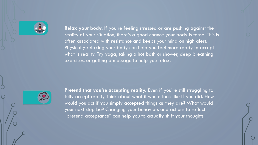

**Relax your body.** If you're feeling stressed or are pushing against the reality of your situation, there's a good chance your body is tense. This is often associated with resistance and keeps your mind on high alert. Physically relaxing your body can help you feel more ready to accept what is reality. Try yoga, taking a hot bath or shower, deep breathing exercises, or getting a massage to help you relax.



Pretend that you're accepting reality. Even if you're still struggling to fully accept reality, think about what it would look like if you did. How would you act if you simply accepted things as they are? What would your next step be? Changing your behaviors and actions to reflect "pretend acceptance" can help you to actually shift your thoughts.